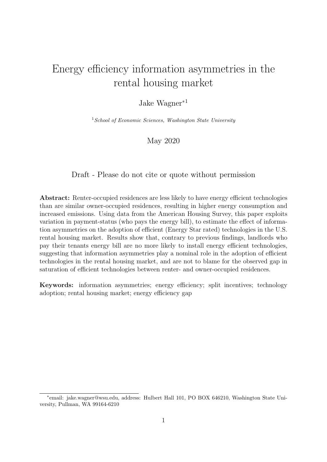# Energy efficiency information asymmetries in the rental housing market

#### Jake Wagner<sup>∗</sup><sup>1</sup>

 $1$  School of Economic Sciences, Washington State University

#### May 2020

Draft - Please do not cite or quote without permission

Abstract: Renter-occupied residences are less likely to have energy efficient technologies than are similar owner-occupied residences, resulting in higher energy consumption and increased emissions. Using data from the American Housing Survey, this paper exploits variation in payment-status (who pays the energy bill), to estimate the effect of information asymmetries on the adoption of efficient (Energy Star rated) technologies in the U.S. rental housing market. Results show that, contrary to previous findings, landlords who pay their tenants energy bill are no more likely to install energy efficient technologies, suggesting that information asymmetries play a nominal role in the adoption of efficient technologies in the rental housing market, and are not to blame for the observed gap in saturation of efficient technologies between renter- and owner-occupied residences.

Keywords: information asymmetries; energy efficiency; split incentives; technology adoption; rental housing market; energy efficiency gap

<sup>∗</sup> email: jake.wagner@wsu.edu, address: Hulbert Hall 101, PO BOX 646210, Washington State University, Pullman, WA 99164-6210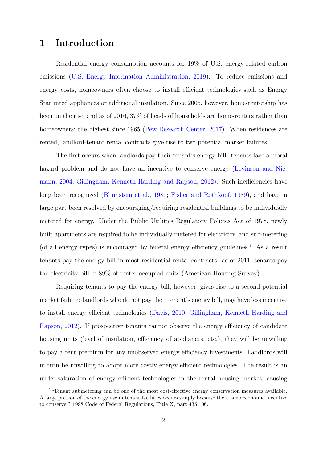### 1 Introduction

Residential energy consumption accounts for 19% of U.S. energy-related carbon emissions [\(U.S. Energy Information Administration,](#page-23-0) [2019\)](#page-23-0). To reduce emissions and energy costs, homeowners often choose to install efficient technologies such as Energy Star rated appliances or additional insulation. Since 2005, however, home-rentership has been on the rise, and as of 2016, 37% of heads of households are home-renters rather than homeowners; the highest since 1965 [\(Pew Research Center,](#page-23-1) [2017\)](#page-23-1). When residences are rented, landlord-tenant rental contracts give rise to two potential market failures.

The first occurs when landlords pay their tenant's energy bill: tenants face a moral hazard problem and do not have an incentive to conserve energy [\(Levinson and Nie](#page-22-0)[mann,](#page-22-0) [2004;](#page-22-0) [Gillingham, Kenneth Harding and Rapson,](#page-22-1) [2012\)](#page-22-1). Such inefficiencies have long been recognized [\(Blumstein et al.,](#page-22-2) [1980;](#page-22-2) [Fisher and Rothkopf,](#page-22-3) [1989\)](#page-22-3), and have in large part been resolved by encouraging/requiring residential buildings to be individually metered for energy. Under the Public Utilities Regulatory Policies Act of 1978, newly built apartments are required to be individually metered for electricity, and sub-metering (of all energy types) is encouraged by federal energy efficiency guidelines.<sup>[1](#page-1-0)</sup> As a result tenants pay the energy bill in most residential rental contracts: as of 2011, tenants pay the electricity bill in 89% of renter-occupied units (American Housing Survey).

Requiring tenants to pay the energy bill, however, gives rise to a second potential market failure: landlords who do not pay their tenant's energy bill, may have less incentive to install energy efficient technologies [\(Davis,](#page-22-4) [2010;](#page-22-4) [Gillingham, Kenneth Harding and](#page-22-1) [Rapson,](#page-22-1) [2012\)](#page-22-1). If prospective tenants cannot observe the energy efficiency of candidate housing units (level of insulation, efficiency of appliances, etc.), they will be unwilling to pay a rent premium for any unobserved energy efficiency investments. Landlords will in turn be unwilling to adopt more costly energy efficient technologies. The result is an under-saturation of energy efficient technologies in the rental housing market, causing

<span id="page-1-0"></span><sup>&</sup>lt;sup>1</sup> "Tenant submetering can be one of the most cost-effective energy conservation measures available. A large portion of the energy use in tenant facilities occurs simply because there is no economic incentive to conserve." 1998 Code of Federal Regulations, Title X, part 435.106.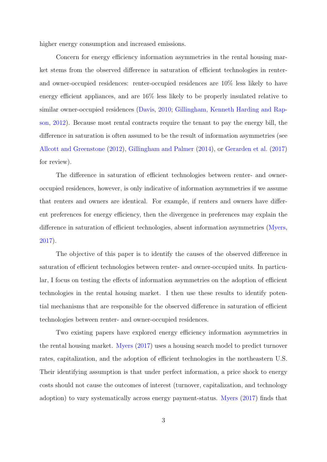higher energy consumption and increased emissions.

Concern for energy efficiency information asymmetries in the rental housing market stems from the observed difference in saturation of efficient technologies in renterand owner-occupied residences: renter-occupied residences are 10% less likely to have energy efficient appliances, and are 16% less likely to be properly insulated relative to similar owner-occupied residences [\(Davis,](#page-22-4) [2010;](#page-22-4) [Gillingham, Kenneth Harding and Rap](#page-22-1)[son,](#page-22-1) [2012\)](#page-22-1). Because most rental contracts require the tenant to pay the energy bill, the difference in saturation is often assumed to be the result of information asymmetries (see [Allcott and Greenstone](#page-22-5) [\(2012\)](#page-22-5), [Gillingham and Palmer](#page-22-6) [\(2014\)](#page-22-6), or [Gerarden et al.](#page-22-7) [\(2017\)](#page-22-7) for review).

The difference in saturation of efficient technologies between renter- and owneroccupied residences, however, is only indicative of information asymmetries if we assume that renters and owners are identical. For example, if renters and owners have different preferences for energy efficiency, then the divergence in preferences may explain the difference in saturation of efficient technologies, absent information asymmetries [\(Myers,](#page-22-8) [2017\)](#page-22-8).

The objective of this paper is to identify the causes of the observed difference in saturation of efficient technologies between renter- and owner-occupied units. In particular, I focus on testing the effects of information asymmetries on the adoption of efficient technologies in the rental housing market. I then use these results to identify potential mechanisms that are responsible for the observed difference in saturation of efficient technologies between renter- and owner-occupied residences.

Two existing papers have explored energy efficiency information asymmetries in the rental housing market. [Myers](#page-22-8) [\(2017\)](#page-22-8) uses a housing search model to predict turnover rates, capitalization, and the adoption of efficient technologies in the northeastern U.S. Their identifying assumption is that under perfect information, a price shock to energy costs should not cause the outcomes of interest (turnover, capitalization, and technology adoption) to vary systematically across energy payment-status. [Myers](#page-22-8) [\(2017\)](#page-22-8) finds that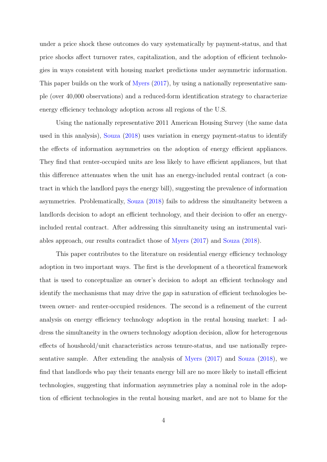under a price shock these outcomes do vary systematically by payment-status, and that price shocks affect turnover rates, capitalization, and the adoption of efficient technologies in ways consistent with housing market predictions under asymmetric information. This paper builds on the work of [Myers](#page-22-8) [\(2017\)](#page-22-8), by using a nationally representative sample (over 40,000 observations) and a reduced-form identification strategy to characterize energy efficiency technology adoption across all regions of the U.S.

Using the nationally representative 2011 American Housing Survey (the same data used in this analysis), [Souza](#page-23-2) [\(2018\)](#page-23-2) uses variation in energy payment-status to identify the effects of information asymmetries on the adoption of energy efficient appliances. They find that renter-occupied units are less likely to have efficient appliances, but that this difference attenuates when the unit has an energy-included rental contract (a contract in which the landlord pays the energy bill), suggesting the prevalence of information asymmetries. Problematically, [Souza](#page-23-2) [\(2018\)](#page-23-2) fails to address the simultaneity between a landlords decision to adopt an efficient technology, and their decision to offer an energyincluded rental contract. After addressing this simultaneity using an instrumental variables approach, our results contradict those of [Myers](#page-22-8) [\(2017\)](#page-22-8) and [Souza](#page-23-2) [\(2018\)](#page-23-2).

This paper contributes to the literature on residential energy efficiency technology adoption in two important ways. The first is the development of a theoretical framework that is used to conceptualize an owner's decision to adopt an efficient technology and identify the mechanisms that may drive the gap in saturation of efficient technologies between owner- and renter-occupied residences. The second is a refinement of the current analysis on energy efficiency technology adoption in the rental housing market: I address the simultaneity in the owners technology adoption decision, allow for heterogenous effects of housheold/unit characteristics across tenure-status, and use nationally representative sample. After extending the analysis of [Myers](#page-22-8) [\(2017\)](#page-22-8) and [Souza](#page-23-2) [\(2018\)](#page-23-2), we find that landlords who pay their tenants energy bill are no more likely to install efficient technologies, suggesting that information asymmetries play a nominal role in the adoption of efficient technologies in the rental housing market, and are not to blame for the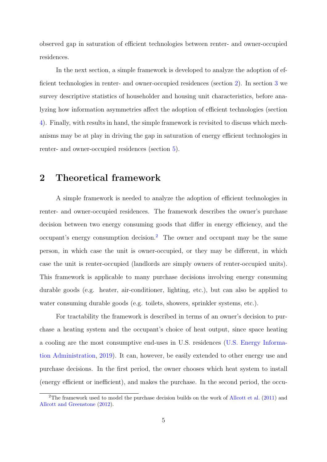observed gap in saturation of efficient technologies between renter- and owner-occupied residences.

In the next section, a simple framework is developed to analyze the adoption of efficient technologies in renter- and owner-occupied residences (section [2\)](#page-4-0). In section [3](#page-9-0) we survey descriptive statistics of householder and housing unit characteristics, before analyzing how information asymmetries affect the adoption of efficient technologies (section [4\)](#page-14-0). Finally, with results in hand, the simple framework is revisited to discuss which mechanisms may be at play in driving the gap in saturation of energy efficient technologies in renter- and owner-occupied residences (section [5\)](#page-20-0).

### <span id="page-4-0"></span>2 Theoretical framework

A simple framework is needed to analyze the adoption of efficient technologies in renter- and owner-occupied residences. The framework describes the owner's purchase decision between two energy consuming goods that differ in energy efficiency, and the occupant's energy consumption decision.[2](#page-4-1) The owner and occupant may be the same person, in which case the unit is owner-occupied, or they may be different, in which case the unit is renter-occupied (landlords are simply owners of renter-occupied units). This framework is applicable to many purchase decisions involving energy consuming durable goods (e.g. heater, air-conditioner, lighting, etc.), but can also be applied to water consuming durable goods (e.g. toilets, showers, sprinkler systems, etc.).

For tractability the framework is described in terms of an owner's decision to purchase a heating system and the occupant's choice of heat output, since space heating a cooling are the most consumptive end-uses in U.S. residences [\(U.S. Energy Informa](#page-23-0)[tion Administration,](#page-23-0) [2019\)](#page-23-0). It can, however, be easily extended to other energy use and purchase decisions. In the first period, the owner chooses which heat system to install (energy efficient or inefficient), and makes the purchase. In the second period, the occu-

<span id="page-4-1"></span><sup>&</sup>lt;sup>2</sup>The framework used to model the purchase decision builds on the work of [Allcott et al.](#page-22-9)  $(2011)$  and [Allcott and Greenstone](#page-22-5) [\(2012\)](#page-22-5).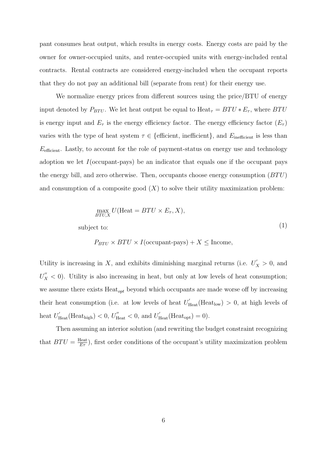pant consumes heat output, which results in energy costs. Energy costs are paid by the owner for owner-occupied units, and renter-occupied units with energy-included rental contracts. Rental contracts are considered energy-included when the occupant reports that they do not pay an additional bill (separate from rent) for their energy use.

We normalize energy prices from different sources using the price/BTU of energy input denoted by  $P_{BTU}$ . We let heat output be equal to  $\text{Heat}_{\tau} = BTU * E_{\tau}$ , where  $BTU$ is energy input and  $E_{\tau}$  is the energy efficiency factor. The energy efficiency factor  $(E_{\tau})$ varies with the type of heat system  $\tau \in \{\text{efficient}, \text{ inefficient}\}\,$ , and  $E_{\text{inefficient}}$  is less than  $E_{\text{efficient}}$ . Lastly, to account for the role of payment-status on energy use and technology adoption we let  $I$ (occupant-pays) be an indicator that equals one if the occupant pays the energy bill, and zero otherwise. Then, occupants choose energy consumption  $(BTU)$ and consumption of a composite good  $(X)$  to solve their utility maximization problem:

$$
\max_{BTU,X} U(\text{Heat} = BTU \times E_{\tau}, X),
$$
  
subject to: (1)

$$
P_{BTU} \times BTU \times I(\text{occupant-pays}) + X \leq \text{Income},
$$

Utility is increasing in X, and exhibits diminishing marginal returns (i.e.  $U'_X > 0$ , and  $U''_X$  < 0). Utility is also increasing in heat, but only at low levels of heat consumption; we assume there exists  $Heat_{opt}$  beyond which occupants are made worse off by increasing their heat consumption (i.e. at low levels of heat  $U'_{\text{Heat}}(\text{Heat}_{\text{low}}) > 0$ , at high levels of heat  $U'_{\text{Heat}}(\text{Heat}_{\text{high}}) < 0, U''_{\text{Heat}} < 0, \text{ and } U'_{\text{Heat}}(\text{Heat}_{\text{opt}}) = 0).$ 

Then assuming an interior solution (and rewriting the budget constraint recognizing that  $BTU = \frac{\text{Heat}}{E\tau}$ , first order conditions of the occupant's utility maximization problem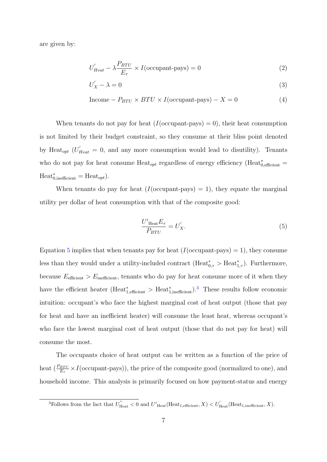are given by:

$$
U'_{Heat} - \lambda \frac{P_{BTU}}{E_{\tau}} \times I(\text{occupant-pays}) = 0
$$
\n(2)

$$
U'_X - \lambda = 0 \tag{3}
$$

$$
Income - P_{BTU} \times BTU \times I(occupant-pays) - X = 0
$$
\n(4)

When tenants do not pay for heat  $(I({\rm occupant-pays}) = 0)$ , their heat consumption is not limited by their budget constraint, so they consume at their bliss point denoted by Heat<sub>opt</sub>  $(U'_{Heat} = 0$ , and any more consumption would lead to disutility). Tenants who do not pay for heat consume  $\text{Heat}_{opt}$  regardless of energy efficiency ( $\text{Heat}^*_{0,\text{efficient}} =$  $\text{Heat}^*_{0,\text{inefficient}} = \text{Heat}_{opt}.$ 

When tenants do pay for heat  $(I({\rm occupant-pays}) = 1)$ , they equate the marginal utility per dollar of heat consumption with that of the composite good:

<span id="page-6-0"></span>
$$
\frac{U'_{\text{Heat}}E_{\tau}}{P_{BTU}} = U'_X. \tag{5}
$$

Equation [5](#page-6-0) implies that when tenants pay for heat  $(I({\rm occupant-pays}) = 1)$ , they consume less than they would under a utility-included contract  $(Heat^*_{0, \tau} > Heat^*_{1, \tau})$ . Furthermore, because  $E_{\text{efficient}} > E_{\text{inefficient}}$ , tenants who do pay for heat consume more of it when they have the efficient heater ( $\text{Heat}^*_{1,\text{efficient}} > \text{Heat}^*_{1,\text{inefficient}}$ ).<sup>[3](#page-6-1)</sup> These results follow economic intuition: occupant's who face the highest marginal cost of heat output (those that pay for heat and have an inefficient heater) will consume the least heat, whereas occupant's who face the lowest marginal cost of heat output (those that do not pay for heat) will consume the most.

The occupants choice of heat output can be written as a function of the price of heat  $(\frac{P_{BTU}}{E_{\tau}} \times I(\text{occupant-pays})),$  the price of the composite good (normalized to one), and household income. This analysis is primarily focused on how payment-status and energy

<span id="page-6-1"></span><sup>&</sup>lt;sup>3</sup>Follows from the fact that  $U''_{\text{Heat}} < 0$  and  $U'_{\text{Heat}}(\text{Heat}_{1,\text{efficient}}, X) < U'_{\text{Heat}}(\text{Heat}_{1,\text{inefficient}}, X)$ .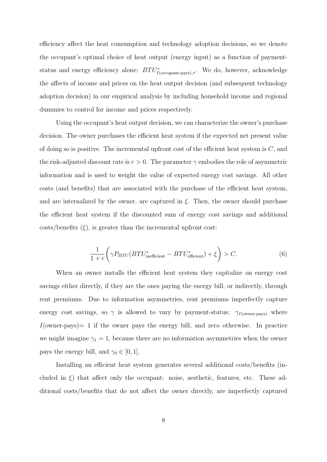efficiency affect the heat consumption and technology adoption decisions, so we denote the occupant's optimal choice of heat output (energy input) as a function of paymentstatus and energy efficiency alone:  $BTU^*_{I(\text{occupant-pays}),\tau}$ . We do, however, acknowledge the affects of income and prices on the heat output decision (and subsequent technology adoption decision) in our empirical analysis by including household income and regional dummies to control for income and prices respectively.

Using the occupant's heat output decision, we can characterize the owner's purchase decision. The owner purchases the efficient heat system if the expected net present value of doing so is positive. The incremental upfront cost of the efficient heat system is  $C$ , and the risk-adjusted discount rate is  $r > 0$ . The parameter  $\gamma$  embodies the role of asymmetric information and is used to weight the value of expected energy cost savings. All other costs (and benefits) that are associated with the purchase of the efficient heat system, and are internalized by the owner, are captured in  $\xi$ . Then, the owner should purchase the efficient heat system if the discounted sum of energy cost savings and additional  $costs/benefits (\xi)$ , is greater than the incremental upfront cost:

$$
\frac{1}{1+r} \left( \gamma P_{BTU} (BTU_{\text{inefficient}}^* - BTU_{\text{efficient}}^*) + \xi \right) > C. \tag{6}
$$

When an owner installs the efficient heat system they capitalize on energy cost savings either directly, if they are the ones paying the energy bill, or indirectly, through rent premiums. Due to information asymmetries, rent premiums imperfectly capture energy cost savings, so  $\gamma$  is allowed to vary by payment-status:  $\gamma_{I(\text{owner-pays})}$  where  $I(\text{owner-pays}) = 1$  if the owner pays the energy bill, and zero otherwise. In practice we might imagine  $\gamma_1 = 1$ , because there are no information asymmetries when the owner pays the energy bill, and  $\gamma_0 \in [0, 1]$ .

Installing an efficient heat system generates several additional costs/benefits (included in  $\xi$ ) that affect only the occupant: noise, aesthetic, features, etc. These additional costs/benefits that do not affect the owner directly, are imperfectly captured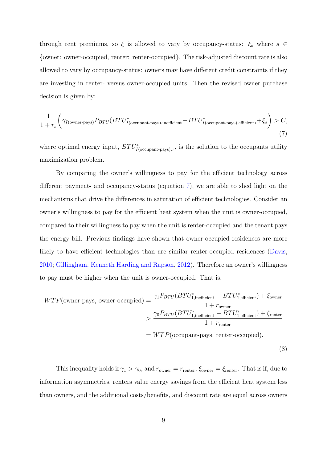through rent premiums, so  $\xi$  is allowed to vary by occupancy-status:  $\xi_s$  where  $s \in$ {owner: owner-occupied, renter: renter-occupied}. The risk-adjusted discount rate is also allowed to vary by occupancy-status: owners may have different credit constraints if they are investing in renter- versus owner-occupied units. Then the revised owner purchase decision is given by:

<span id="page-8-0"></span>
$$
\frac{1}{1+r_s} \bigg( \gamma_{I(\text{owner-pays})} P_{BTU} (BTU^*_{I(\text{occupant-pays}), \text{inefficient}} - BTU^*_{I(\text{occupant-pays}), \text{efficient}}) + \xi_s \bigg) > C,
$$
\n
$$
(7)
$$

where optimal energy input,  $BTU^*_{I(\text{occupant-pays}),\tau}$ , is the solution to the occupants utility maximization problem.

By comparing the owner's willingness to pay for the efficient technology across different payment- and occupancy-status (equation [7\)](#page-8-0), we are able to shed light on the mechanisms that drive the differences in saturation of efficient technologies. Consider an owner's willingness to pay for the efficient heat system when the unit is owner-occupied, compared to their willingness to pay when the unit is renter-occupied and the tenant pays the energy bill. Previous findings have shown that owner-occupied residences are more likely to have efficient technologies than are similar renter-occupied residences [\(Davis,](#page-22-4) [2010;](#page-22-4) [Gillingham, Kenneth Harding and Rapson,](#page-22-1) [2012\)](#page-22-1). Therefore an owner's willingness to pay must be higher when the unit is owner-occupied. That is,

<span id="page-8-1"></span>
$$
WTP(\text{owner-pays, owner-occupied}) = \frac{\gamma_1 P_{BTU} (BTU_{1,\text{inefficient}}^* - BTU_{1,\text{efficient}}^*) + \xi_{\text{owner}}}{1 + r_{\text{owner}}} > \frac{\gamma_0 P_{BTU} (BTU_{1,\text{inefficient}}^* - BTU_{1,\text{efficient}}^*) + \xi_{\text{renter}}}{1 + r_{\text{renter}}} = WTP(\text{occupant-pays, renter-occupied}).
$$
\n(8)

This inequality holds if  $\gamma_1 > \gamma_0$ , and  $r_{\text{owner}} = r_{\text{renter}}$ ,  $\xi_{\text{owner}} = \xi_{\text{renter}}$ . That is if, due to information asymmetries, renters value energy savings from the efficient heat system less than owners, and the additional costs/benefits, and discount rate are equal across owners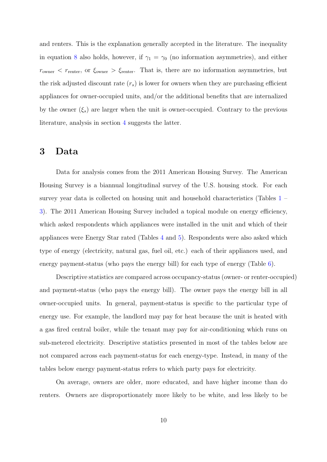and renters. This is the explanation generally accepted in the literature. The inequality in equation [8](#page-8-1) also holds, however, if  $\gamma_1 = \gamma_0$  (no information asymmetries), and either  $r_{\text{owner}} < r_{\text{center}}$ , or  $\xi_{\text{owner}} > \xi_{\text{center}}$ . That is, there are no information asymmetries, but the risk adjusted discount rate  $(r_s)$  is lower for owners when they are purchasing efficient appliances for owner-occupied units, and/or the additional benefits that are internalized by the owner  $(\xi_s)$  are larger when the unit is owner-occupied. Contrary to the previous literature, analysis in section [4](#page-14-0) suggests the latter.

#### <span id="page-9-0"></span>3 Data

Data for analysis comes from the 2011 American Housing Survey. The American Housing Survey is a biannual longitudinal survey of the U.S. housing stock. For each survey year data is collected on housing unit and household characteristics (Tables [1](#page-10-0) – [3\)](#page-12-0). The 2011 American Housing Survey included a topical module on energy efficiency, which asked respondents which appliances were installed in the unit and which of their appliances were Energy Star rated (Tables [4](#page-13-0) and [5\)](#page-13-1). Respondents were also asked which type of energy (electricity, natural gas, fuel oil, etc.) each of their appliances used, and energy payment-status (who pays the energy bill) for each type of energy (Table [6\)](#page-14-1).

Descriptive statistics are compared across occupancy-status (owner- or renter-occupied) and payment-status (who pays the energy bill). The owner pays the energy bill in all owner-occupied units. In general, payment-status is specific to the particular type of energy use. For example, the landlord may pay for heat because the unit is heated with a gas fired central boiler, while the tenant may pay for air-conditioning which runs on sub-metered electricity. Descriptive statistics presented in most of the tables below are not compared across each payment-status for each energy-type. Instead, in many of the tables below energy payment-status refers to which party pays for electricity.

On average, owners are older, more educated, and have higher income than do renters. Owners are disproportionately more likely to be white, and less likely to be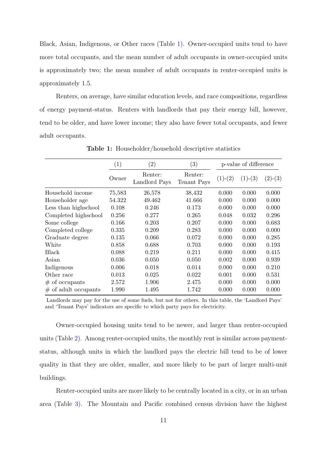Black, Asian, Indigenous, or Other races (Table [1\)](#page-10-0). Owner-occupied units tend to have more total occupants, and the mean number of adult occupants in owner-occupied units is approximately two; the mean number of adult occupants in renter-occupied units is approximately 1.5.

Renters, on average, have similar education levels, and race compositions, regardless of energy payment-status. Renters with landlords that pay their energy bill, however, tend to be older, and have lower income; they also have fewer total occupants, and fewer adult occupants.

<span id="page-10-0"></span>

|                         | (1)    | $\left( 2\right)$        | (3)                    | p-value of difference |           |           |
|-------------------------|--------|--------------------------|------------------------|-----------------------|-----------|-----------|
|                         | Owner  | Renter:<br>Landlord Pays | Renter:<br>Tenant Pays | $(1)-(2)$             | $(1)-(3)$ | $(2)-(3)$ |
| Household income        | 75,583 | 26,578                   | 38,432                 | 0.000                 | 0.000     | 0.000     |
| Householder age         | 54.322 | 49.462                   | 41.666                 | 0.000                 | 0.000     | 0.000     |
| Less than highs chool   | 0.108  | 0.246                    | 0.173                  | 0.000                 | 0.000     | 0.000     |
| Completed highschool    | 0.256  | 0.277                    | 0.265                  | 0.048                 | 0.032     | 0.296     |
| Some college            | 0.166  | 0.203                    | 0.207                  | 0.000                 | 0.000     | 0.683     |
| Completed college       | 0.335  | 0.209                    | 0.283                  | 0.000                 | 0.000     | 0.000     |
| Graduate degree         | 0.135  | 0.066                    | 0.072                  | 0.000                 | 0.000     | 0.285     |
| White                   | 0.858  | 0.688                    | 0.703                  | 0.000                 | 0.000     | 0.193     |
| Black                   | 0.088  | 0.219                    | 0.211                  | 0.000                 | 0.000     | 0.415     |
| Asian                   | 0.036  | 0.050                    | 0.050                  | 0.002                 | 0.000     | 0.939     |
| Indigenous              | 0.006  | 0.018                    | 0.014                  | 0.000                 | 0.000     | 0.210     |
| Other race              | 0.013  | 0.025                    | 0.022                  | 0.001                 | 0.000     | 0.531     |
| $#$ of occupants        | 2.572  | 1.906                    | 2.475                  | 0.000                 | 0.000     | 0.000     |
| $\#$ of adult occupants | 1.990  | 1.495                    | 1.742                  | 0.000                 | 0.000     | 0.000     |
|                         |        |                          |                        |                       |           |           |

Table 1: Householder/household descriptive statistics

Landlords may pay for the use of some fuels, but not for others. In this table, the 'Landlord Pays' and 'Tenant Pays' indicators are specific to which party pays for electricity.

Owner-occupied housing units tend to be newer, and larger than renter-occupied units (Table [2\)](#page-11-0). Among renter-occupied units, the monthly rent is similar across paymentstatus, although units in which the landlord pays the electric bill tend to be of lower quality in that they are older, smaller, and more likely to be part of larger multi-unit buildings.

Renter-occupied units are more likely to be centrally located in a city, or in an urban area (Table [3\)](#page-12-0). The Mountain and Pacific combined census division have the highest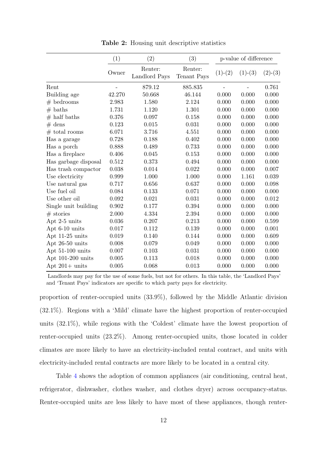<span id="page-11-0"></span>

|                      | (1)    | (2)                      |                        | p-value of difference |           |           |
|----------------------|--------|--------------------------|------------------------|-----------------------|-----------|-----------|
|                      | Owner  | Renter:<br>Landlord Pays | Renter:<br>Tenant Pays | $(1)-(2)$             | $(1)-(3)$ | $(2)-(3)$ |
| Rent                 |        | 879.12                   | 885.835                |                       |           | 0.761     |
| Building age         | 42.270 | 50.668                   | 46.144                 | 0.000                 | 0.000     | 0.000     |
| $#$ bedrooms         | 2.983  | 1.580                    | 2.124                  | 0.000                 | 0.000     | 0.000     |
| $#$ baths            | 1.731  | 1.120                    | 1.301                  | 0.000                 | 0.000     | 0.000     |
| $#$ half baths       | 0.376  | 0.097                    | 0.158                  | 0.000                 | 0.000     | 0.000     |
| $#$ dens             | 0.123  | 0.015                    | 0.031                  | 0.000                 | 0.000     | 0.000     |
| $#$ total rooms      | 6.071  | 3.716                    | 4.551                  | 0.000                 | 0.000     | 0.000     |
| Has a garage         | 0.728  | 0.188                    | 0.402                  | 0.000                 | 0.000     | 0.000     |
| Has a porch          | 0.888  | 0.489                    | 0.733                  | 0.000                 | 0.000     | 0.000     |
| Has a fireplace      | 0.406  | 0.045                    | 0.153                  | 0.000                 | 0.000     | 0.000     |
| Has garbage disposal | 0.512  | 0.373                    | 0.494                  | 0.000                 | 0.000     | 0.000     |
| Has trash compactor  | 0.038  | 0.014                    | 0.022                  | 0.000                 | 0.000     | 0.007     |
| Use electricity      | 0.999  | 1.000                    | 1.000                  | 0.000                 | 1.161     | 0.039     |
| Use natural gas      | 0.717  | 0.656                    | 0.637                  | 0.000                 | 0.000     | 0.098     |
| Use fuel oil         | 0.084  | 0.133                    | 0.071                  | 0.000                 | 0.000     | 0.000     |
| Use other oil        | 0.092  | 0.021                    | 0.031                  | 0.000                 | 0.000     | 0.012     |
| Single unit building | 0.902  | 0.177                    | 0.394                  | 0.000                 | 0.000     | 0.000     |
| $#$ stories          | 2.000  | 4.334                    | 2.394                  | 0.000                 | 0.000     | 0.000     |
| Apt 2-5 units        | 0.036  | 0.207                    | 0.213                  | 0.000                 | 0.000     | 0.599     |
| Apt 6-10 units       | 0.017  | 0.112                    | 0.139                  | 0.000                 | 0.000     | 0.001     |
| Apt 11-25 units      | 0.019  | 0.140                    | 0.144                  | 0.000                 | 0.000     | 0.609     |
| Apt 26-50 units      | 0.008  | 0.079                    | 0.049                  | 0.000                 | 0.000     | 0.000     |
| Apt 51-100 units     | 0.007  | 0.103                    | 0.031                  | 0.000                 | 0.000     | 0.000     |
| Apt 101-200 units    | 0.005  | 0.113                    | 0.018                  | 0.000                 | 0.000     | 0.000     |
| Apt $201+$ units     | 0.005  | 0.068                    | 0.013                  | 0.000                 | 0.000     | 0.000     |

Table 2: Housing unit descriptive statistics

Landlords may pay for the use of some fuels, but not for others. In this table, the 'Landlord Pays' and 'Tenant Pays' indicators are specific to which party pays for electricity.

proportion of renter-occupied units (33.9%), followed by the Middle Atlantic division (32.1%). Regions with a 'Mild' climate have the highest proportion of renter-occupied units (32.1%), while regions with the 'Coldest' climate have the lowest proportion of renter-occupied units (23.2%). Among renter-occupied units, those located in colder climates are more likely to have an electricity-included rental contract, and units with electricity-included rental contracts are more likely to be located in a central city.

Table [4](#page-13-0) shows the adoption of common appliances (air conditioning, central heat, refrigerator, dishwasher, clothes washer, and clothes dryer) across occupancy-status. Renter-occupied units are less likely to have most of these appliances, though renter-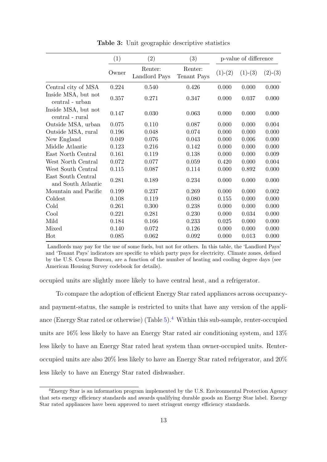<span id="page-12-0"></span>

|                                          | (1)   | (2)                      | (3)                    | p-value of difference |           |           |
|------------------------------------------|-------|--------------------------|------------------------|-----------------------|-----------|-----------|
|                                          | Owner | Renter:<br>Landlord Pays | Renter:<br>Tenant Pays | $(1)-(2)$             | $(1)-(3)$ | $(2)-(3)$ |
| Central city of MSA                      | 0.224 | 0.540                    | 0.426                  | 0.000                 | 0.000     | 0.000     |
| Inside MSA, but not<br>central - urban   | 0.357 | 0.271                    | 0.347                  | 0.000                 | 0.037     | 0.000     |
| Inside MSA, but not<br>central - rural   | 0.147 | 0.030                    | 0.063                  | 0.000                 | 0.000     | 0.000     |
| Outside MSA, urban                       | 0.075 | 0.110                    | 0.087                  | 0.000                 | 0.000     | 0.004     |
| Outside MSA, rural                       | 0.196 | 0.048                    | 0.074                  | 0.000                 | 0.000     | 0.000     |
| New England                              | 0.049 | 0.076                    | 0.043                  | 0.000                 | 0.006     | 0.000     |
| Middle Atlantic                          | 0.123 | 0.216                    | 0.142                  | 0.000                 | 0.000     | 0.000     |
| East North Central                       | 0.161 | 0.119                    | 0.138                  | 0.000                 | 0.000     | 0.009     |
| West North Central                       | 0.072 | 0.077                    | 0.059                  | 0.420                 | 0.000     | 0.004     |
| West South Central                       | 0.115 | 0.087                    | 0.114                  | 0.000                 | 0.892     | 0.000     |
| East South Central<br>and South Atlantic | 0.281 | 0.189                    | 0.234                  | 0.000                 | 0.000     | 0.000     |
| Mountain and Pacific                     | 0.199 | 0.237                    | 0.269                  | 0.000                 | 0.000     | 0.002     |
| Coldest                                  | 0.108 | 0.119                    | 0.080                  | 0.155                 | 0.000     | 0.000     |
| Cold                                     | 0.261 | 0.300                    | 0.238                  | 0.000                 | 0.000     | 0.000     |
| Cool                                     | 0.221 | 0.281                    | 0.230                  | 0.000                 | 0.034     | 0.000     |
| Mild                                     | 0.184 | 0.166                    | 0.233                  | 0.025                 | 0.000     | 0.000     |
| Mixed                                    | 0.140 | 0.072                    | 0.126                  | 0.000                 | 0.000     | 0.000     |
| Hot                                      | 0.085 | 0.062                    | 0.092                  | 0.000                 | 0.013     | 0.000     |

Table 3: Unit geographic descriptive statistics

Landlords may pay for the use of some fuels, but not for others. In this table, the 'Landlord Pays' and 'Tenant Pays' indicators are specific to which party pays for electricity. Climate zones, defined by the U.S. Census Bureau, are a function of the number of heating and cooling degree days (see American Housing Survey codebook for details).

occupied units are slightly more likely to have central heat, and a refrigerator.

To compare the adoption of efficient Energy Star rated appliances across occupancyand payment-status, the sample is restricted to units that have any version of the appliance (Energy Star rated or otherwise) (Table  $5$ ).<sup>[4](#page-12-1)</sup> Within this sub-sample, renter-occupied units are 16% less likely to have an Energy Star rated air conditioning system, and 13% less likely to have an Energy Star rated heat system than owner-occupied units. Renteroccupied units are also 20% less likely to have an Energy Star rated refrigerator, and 20% less likely to have an Energy Star rated dishwasher.

<span id="page-12-1"></span><sup>4</sup>Energy Star is an information program implemented by the U.S. Environmental Protection Agency that sets energy efficiency standards and awards qualifying durable goods an Energy Star label. Energy Star rated appliances have been approved to meet stringent energy efficiency standards.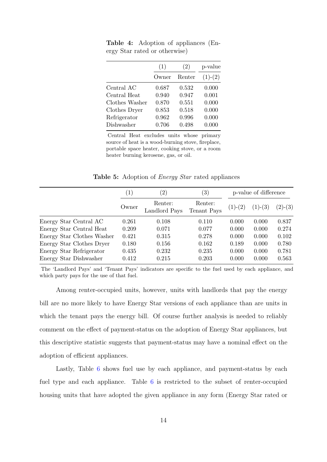|                | (1)   | (2)    | p-value   |
|----------------|-------|--------|-----------|
|                | Owner | Renter | $(1)-(2)$ |
| Central AC     | 0.687 | 0.532  | 0.000     |
| Central Heat   | 0.940 | 0.947  | 0.001     |
| Clothes Washer | 0.870 | 0.551  | 0.000     |
| Clothes Dryer  | 0.853 | 0.518  | 0.000     |
| Refrigerator   | 0.962 | 0.996  | 0.000     |
| Dishwasher     | 0.706 | 0.498  | 0.000     |

<span id="page-13-0"></span>Table 4: Adoption of appliances (Energy Star rated or otherwise)

Central Heat excludes units whose primary source of heat is a wood-burning stove, fireplace, portable space heater, cooking stove, or a room heater burning kerosene, gas, or oil.

Table 5: Adoption of *Energy Star* rated appliances

<span id="page-13-1"></span>

|                            | (1)   | $\left( 2\right)$        | $\left( 3\right)$      |           | p-value of difference |           |
|----------------------------|-------|--------------------------|------------------------|-----------|-----------------------|-----------|
|                            | Owner | Renter:<br>Landlord Pays | Renter:<br>Tenant Pays | $(1)-(2)$ | $(1)-(3)$             | $(2)-(3)$ |
| Energy Star Central AC     | 0.261 | 0.108                    | 0.110                  | 0.000     | 0.000                 | 0.837     |
| Energy Star Central Heat   | 0.209 | 0.071                    | 0.077                  | 0.000     | 0.000                 | 0.274     |
| Energy Star Clothes Washer | 0.421 | 0.315                    | 0.278                  | 0.000     | 0.000                 | 0.102     |
| Energy Star Clothes Dryer  | 0.180 | 0.156                    | 0.162                  | 0.189     | 0.000                 | 0.780     |
| Energy Star Refrigerator   | 0.435 | 0.232                    | 0.235                  | 0.000     | 0.000                 | 0.781     |
| Energy Star Dishwasher     | 0.412 | 0.215                    | 0.203                  | 0.000     | 0.000                 | 0.563     |

The 'Landlord Pays' and 'Tenant Pays' indicators are specific to the fuel used by each appliance, and which party pays for the use of that fuel.

Among renter-occupied units, however, units with landlords that pay the energy bill are no more likely to have Energy Star versions of each appliance than are units in which the tenant pays the energy bill. Of course further analysis is needed to reliably comment on the effect of payment-status on the adoption of Energy Star appliances, but this descriptive statistic suggests that payment-status may have a nominal effect on the adoption of efficient appliances.

Lastly, Table [6](#page-14-1) shows fuel use by each appliance, and payment-status by each fuel type and each appliance. Table  $6$  is restricted to the subset of renter-occupied housing units that have adopted the given appliance in any form (Energy Star rated or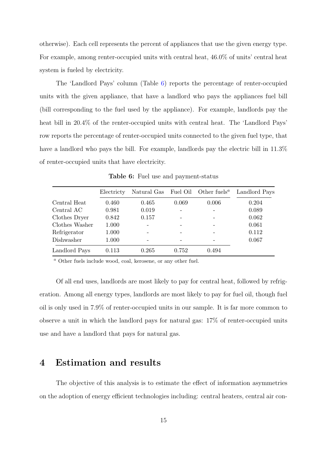otherwise). Each cell represents the percent of appliances that use the given energy type. For example, among renter-occupied units with central heat, 46.0% of units' central heat system is fueled by electricity.

The 'Landlord Pays' column (Table [6\)](#page-14-1) reports the percentage of renter-occupied units with the given appliance, that have a landlord who pays the appliances fuel bill (bill corresponding to the fuel used by the appliance). For example, landlords pay the heat bill in 20.4% of the renter-occupied units with central heat. The 'Landlord Pays' row reports the percentage of renter-occupied units connected to the given fuel type, that have a landlord who pays the bill. For example, landlords pay the electric bill in  $11.3\%$ of renter-occupied units that have electricity.

<span id="page-14-1"></span>

|                | Electricty |       |       | Natural Gas Fuel Oil Other fuels <sup><i>a</i></sup> | Landlord Pays |
|----------------|------------|-------|-------|------------------------------------------------------|---------------|
| Central Heat   | 0.460      | 0.465 | 0.069 | 0.006                                                | 0.204         |
| Central AC     | 0.981      | 0.019 |       |                                                      | 0.089         |
| Clothes Dryer  | 0.842      | 0.157 |       |                                                      | 0.062         |
| Clothes Washer | 1.000      |       |       |                                                      | 0.061         |
| Refrigerator   | 1.000      |       |       |                                                      | 0.112         |
| Dishwasher     | 1.000      |       |       |                                                      | 0.067         |
| Landlord Pays  | 0.113      | 0.265 | 0.752 | 0.494                                                |               |

Table 6: Fuel use and payment-status

<sup>a</sup> Other fuels include wood, coal, kerosene, or any other fuel.

Of all end uses, landlords are most likely to pay for central heat, followed by refrigeration. Among all energy types, landlords are most likely to pay for fuel oil, though fuel oil is only used in 7.9% of renter-occupied units in our sample. It is far more common to observe a unit in which the landlord pays for natural gas: 17% of renter-occupied units use and have a landlord that pays for natural gas.

#### <span id="page-14-0"></span>4 Estimation and results

The objective of this analysis is to estimate the effect of information asymmetries on the adoption of energy efficient technologies including: central heaters, central air con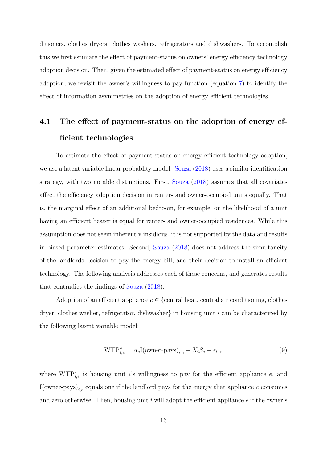ditioners, clothes dryers, clothes washers, refrigerators and dishwashers. To accomplish this we first estimate the effect of payment-status on owners' energy efficiency technology adoption decision. Then, given the estimated effect of payment-status on energy efficiency adoption, we revisit the owner's willingness to pay function (equation [7\)](#page-8-0) to identify the effect of information asymmetries on the adoption of energy efficient technologies.

## 4.1 The effect of payment-status on the adoption of energy efficient technologies

To estimate the effect of payment-status on energy efficient technology adoption, we use a latent variable linear probablity model. [Souza](#page-23-2) [\(2018\)](#page-23-2) uses a similar identification strategy, with two notable distinctions. First, [Souza](#page-23-2) [\(2018\)](#page-23-2) assumes that all covariates affect the efficiency adoption decision in renter- and owner-occupied units equally. That is, the marginal effect of an additional bedroom, for example, on the likelihood of a unit having an efficient heater is equal for renter- and owner-occupied residences. While this assumption does not seem inherently insidious, it is not supported by the data and results in biased parameter estimates. Second, [Souza](#page-23-2) [\(2018\)](#page-23-2) does not address the simultaneity of the landlords decision to pay the energy bill, and their decision to install an efficient technology. The following analysis addresses each of these concerns, and generates results that contradict the findings of [Souza](#page-23-2) [\(2018\)](#page-23-2).

Adoption of an efficient appliance  $e \in \{$ central heat, central air conditioning, clothes dryer, clothes washer, refrigerator, dishwasher in housing unit i can be characterized by the following latent variable model:

<span id="page-15-0"></span>
$$
\text{WTP}_{i,e}^* = \alpha_e \text{I}(\text{owner-pays})_{i,e} + X_i \beta_e + \epsilon_{i,e},\tag{9}
$$

where  $WTP_{i,e}^*$  is housing unit i's willingness to pay for the efficient appliance e, and I(owner-pays)<sub>i,e</sub> equals one if the landlord pays for the energy that appliance e consumes and zero otherwise. Then, housing unit  $i$  will adopt the efficient appliance  $e$  if the owner's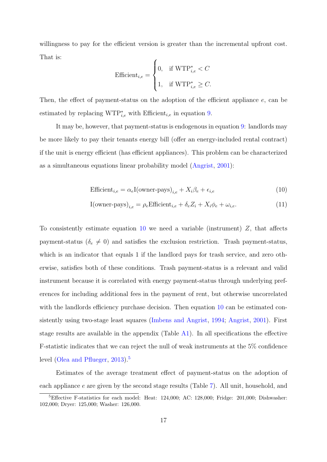willingness to pay for the efficient version is greater than the incremental upfront cost. That is:

$$
\text{Efficient}_{i,e} = \begin{cases} 0, & \text{if } \text{WTP}_{i,e}^* < C \\ 1, & \text{if } \text{WTP}_{i,e}^* \ge C. \end{cases}
$$

Then, the effect of payment-status on the adoption of the efficient appliance e, can be estimated by replacing  $WTP_{i,e}^*$  with Efficient<sub>i,e</sub> in equation [9.](#page-15-0)

It may be, however, that payment-status is endogenous in equation [9:](#page-15-0) landlords may be more likely to pay their tenants energy bill (offer an energy-included rental contract) if the unit is energy efficient (has efficient appliances). This problem can be characterized as a simultaneous equations linear probability model [\(Angrist,](#page-22-10) [2001\)](#page-22-10):

<span id="page-16-2"></span><span id="page-16-0"></span>
$$
\text{Efficient}_{i,e} = \alpha_e \mathbf{I}(\text{owner-pays})_{i,e} + X_i \beta_e + \epsilon_{i,e} \tag{10}
$$

$$
I(\text{owner-pays})_{i,e} = \rho_e \text{Efficient}_{i,e} + \delta_e Z_i + X_i \phi_e + \omega_{i,e}.
$$
\n(11)

To consistently estimate equation  $10$  we need a variable (instrument)  $Z$ , that affects payment-status ( $\delta_e \neq 0$ ) and satisfies the exclusion restriction. Trash payment-status, which is an indicator that equals 1 if the landlord pays for trash service, and zero otherwise, satisfies both of these conditions. Trash payment-status is a relevant and valid instrument because it is correlated with energy payment-status through underlying preferences for including additional fees in the payment of rent, but otherwise uncorrelated with the landlords efficiency purchase decision. Then equation [10](#page-16-0) can be estimated consistently using two-stage least squares [\(Imbens and Angrist,](#page-22-11) [1994;](#page-22-11) [Angrist,](#page-22-10) [2001\)](#page-22-10). First stage results are available in the appendix (Table [A1\)](#page-25-0). In all specifications the effective F-statistic indicates that we can reject the null of weak instruments at the 5% confidence level [\(Olea and Pflueger,](#page-22-12) [2013\)](#page-22-12).<sup>[5](#page-16-1)</sup>

Estimates of the average treatment effect of payment-status on the adoption of each appliance e are given by the second stage results (Table [7\)](#page-17-0). All unit, household, and

<span id="page-16-1"></span><sup>5</sup>Effective F-statistics for each model: Heat: 124,000; AC: 128,000; Fridge: 201,000; Dishwasher: 102,000; Dryer: 125,000; Washer: 126,000.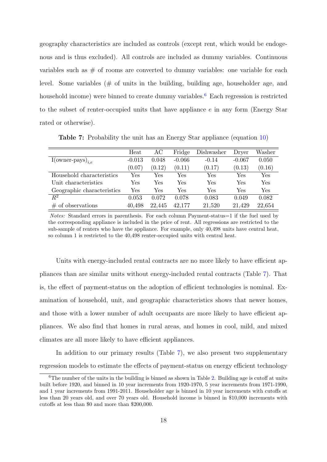geography characteristics are included as controls (except rent, which would be endogenous and is thus excluded). All controls are included as dummy variables. Continuous variables such as  $#$  of rooms are converted to dummy variables: one variable for each level. Some variables (# of units in the building, building age, householder age, and household income) were binned to create dummy variables.<sup>[6](#page-17-1)</sup> Each regression is restricted to the subset of renter-occupied units that have appliance  $e$  in any form (Energy Star rated or otherwise).

<span id="page-17-0"></span>

|                              | Heat     | AC     | Fridge   | Dishwasher | Dryer    | Washer |
|------------------------------|----------|--------|----------|------------|----------|--------|
| $I(\text{owner-pays})_{i,e}$ | $-0.013$ | 0.048  | $-0.066$ | $-0.14$    | $-0.067$ | 0.050  |
|                              | (0.07)   | (0.12) | (0.11)   | (0.17)     | (0.13)   | (0.16) |
| Household characteristics    | Yes      | Yes    | Yes      | Yes        | Yes      | Yes    |
| Unit characteristics         | Yes      | Yes    | Yes      | Yes        | Yes      | Yes    |
| Geographic characteristics   | Yes      | Yes    | Yes      | Yes        | Yes      | Yes    |
| $R^2$                        | 0.053    | 0.072  | 0.078    | 0.083      | 0.049    | 0.082  |
| of observations<br>#         | 40,498   | 22,445 | 42.177   | 21,520     | 21,429   | 22,654 |

Table 7: Probability the unit has an Energy Star appliance (equation [10\)](#page-16-0)

Notes: Standard errors in parenthesis. For each column Payment-status=1 if the fuel used by the corresponding appliance is included in the price of rent. All regressions are restricted to the sub-sample of renters who have the appliance. For example, only 40,498 units have central heat, so column 1 is restricted to the 40,498 renter-occupied units with central heat.

Units with energy-included rental contracts are no more likely to have efficient appliances than are similar units without energy-included rental contracts (Table [7\)](#page-17-0). That is, the effect of payment-status on the adoption of efficient technologies is nominal. Examination of household, unit, and geographic characteristics shows that newer homes, and those with a lower number of adult occupants are more likely to have efficient appliances. We also find that homes in rural areas, and homes in cool, mild, and mixed climates are all more likely to have efficient appliances.

In addition to our primary results (Table [7\)](#page-17-0), we also present two supplementary regression models to estimate the effects of payment-status on energy efficient technology

<span id="page-17-1"></span> $6$ The number of the units in the building is binned as shown in Table [2.](#page-11-0) Building age is cutoff at units built before 1920, and binned in 10 year increments from 1920-1970, 5 year increments from 1971-1990, and 1 year increments from 1991-2011. Householder age is binned in 10 year increments with cutoffs at less than 20 years old, and over 70 years old. Household income is binned in \$10,000 increments with cutoffs at less than \$0 and more than \$200,000.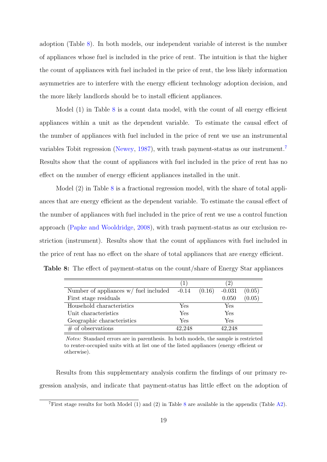adoption (Table [8\)](#page-18-0). In both models, our independent variable of interest is the number of appliances whose fuel is included in the price of rent. The intuition is that the higher the count of appliances with fuel included in the price of rent, the less likely information asymmetries are to interfere with the energy efficient technology adoption decision, and the more likely landlords should be to install efficient appliances.

Model  $(1)$  in Table  $8$  is a count data model, with the count of all energy efficient appliances within a unit as the dependent variable. To estimate the causal effect of the number of appliances with fuel included in the price of rent we use an instrumental variables Tobit regression [\(Newey,](#page-22-13) [1987\)](#page-22-13), with trash payment-status as our instrument.[7](#page-18-1) Results show that the count of appliances with fuel included in the price of rent has no effect on the number of energy efficient appliances installed in the unit.

Model (2) in Table [8](#page-18-0) is a fractional regression model, with the share of total appliances that are energy efficient as the dependent variable. To estimate the causal effect of the number of appliances with fuel included in the price of rent we use a control function approach [\(Papke and Wooldridge,](#page-22-14) [2008\)](#page-22-14), with trash payment-status as our exclusion restriction (instrument). Results show that the count of appliances with fuel included in the price of rent has no effect on the share of total appliances that are energy efficient.

<span id="page-18-0"></span>

| <b>Table 8:</b> The effect of payment-status on the count/share of Energy Star appliances |  |
|-------------------------------------------------------------------------------------------|--|
|-------------------------------------------------------------------------------------------|--|

|                                                 | (1)    |        | $\left 2\right\rangle$ |        |
|-------------------------------------------------|--------|--------|------------------------|--------|
| Number of appliances $w/$ fuel included $-0.14$ |        | (0.16) | $-0.031$               | (0.05) |
| First stage residuals                           |        |        | 0.050                  | (0.05) |
| Household characteristics                       | Yes    |        | Yes                    |        |
| Unit characteristics                            | Yes    |        | Yes                    |        |
| Geographic characteristics                      | Yes    |        | Yes                    |        |
| $#$ of observations                             | 42,248 |        | 42,248                 |        |

Notes: Standard errors are in parenthesis. In both models, the sample is restricted to renter-occupied units with at list one of the listed appliances (energy efficient or otherwise).

Results from this supplementary analysis confirm the findings of our primary regression analysis, and indicate that payment-status has little effect on the adoption of

<span id="page-18-1"></span><sup>&</sup>lt;sup>7</sup>First stage results for both Model (1) and (2) in Table [8](#page-18-0) are available in the appendix (Table [A2\)](#page-26-0).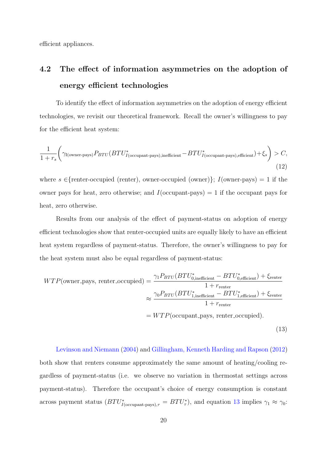efficient appliances.

# 4.2 The effect of information asymmetries on the adoption of energy efficient technologies

To identify the effect of information asymmetries on the adoption of energy efficient technologies, we revisit our theoretical framework. Recall the owner's willingness to pay for the efficient heat system:

$$
\frac{1}{1+r_s} \left( \gamma_{\text{I}(\text{owner-pays})} P_{BTU} (BTU_{I(\text{occupant-pays}),\text{inefficient}}^* - BTU_{I(\text{occupant-pays}),\text{efficient}}^*) + \xi_s \right) > C,
$$
\n(12)

where  $s \in$ {renter-occupied (renter), owner-occupied (owner)};  $I(\text{owner-pays}) = 1$  if the owner pays for heat, zero otherwise; and  $I$ (occupant-pays) = 1 if the occupant pays for heat, zero otherwise.

Results from our analysis of the effect of payment-status on adoption of energy efficient technologies show that renter-occupied units are equally likely to have an efficient heat system regardless of payment-status. Therefore, the owner's willingness to pay for the heat system must also be equal regardless of payment-status:

<span id="page-19-0"></span>
$$
WTP(\text{owner}.\text{pays, renter\_occupied}) = \frac{\gamma_1 P_{BTU} (BTU_{0,\text{inefficient}}^* - BTU_{0,\text{efficient}}^*) + \xi_{\text{renter}}}{1 + r_{\text{renter}}} \approx \frac{\gamma_0 P_{BTU} (BTU_{1,\text{inefficient}}^* - BTU_{1,\text{efficient}}^*) + \xi_{\text{renter}}}{1 + r_{\text{renter}}} = WTP(\text{occupant}.\text{pays, renter\_occupied}).
$$
\n(13)

[Levinson and Niemann](#page-22-0) [\(2004\)](#page-22-0) and [Gillingham, Kenneth Harding and Rapson](#page-22-1) [\(2012\)](#page-22-1) both show that renters consume approximately the same amount of heating/cooling regardless of payment-status (i.e. we observe no variation in thermostat settings across payment-status). Therefore the occupant's choice of energy consumption is constant across payment status  $(BTU^*_{I(\text{occupant-pays}),\tau} = BTU^*_{\tau})$ , and equation [13](#page-19-0) implies  $\gamma_1 \approx \gamma_0$ :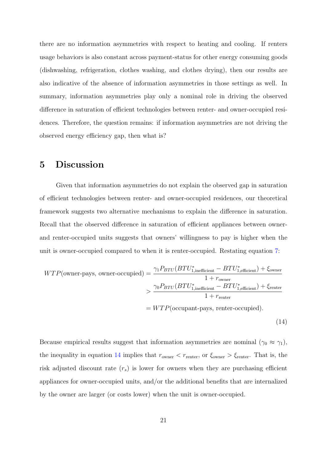there are no information asymmetries with respect to heating and cooling. If renters usage behaviors is also constant across payment-status for other energy consuming goods (dishwashing, refrigeration, clothes washing, and clothes drying), then our results are also indicative of the absence of information asymmetries in those settings as well. In summary, information asymmetries play only a nominal role in driving the observed difference in saturation of efficient technologies between renter- and owner-occupied residences. Therefore, the question remains: if information asymmetries are not driving the observed energy efficiency gap, then what is?

#### <span id="page-20-0"></span>5 Discussion

Given that information asymmetries do not explain the observed gap in saturation of efficient technologies between renter- and owner-occupied residences, our theoretical framework suggests two alternative mechanisms to explain the difference in saturation. Recall that the observed difference in saturation of efficient appliances between ownerand renter-occupied units suggests that owners' willingness to pay is higher when the unit is owner-occupied compared to when it is renter-occupied. Restating equation [7:](#page-8-0)

<span id="page-20-1"></span>
$$
WTP(\text{owner-pays, owner-occupied}) = \frac{\gamma_1 P_{BTU} (BTU_{1,\text{inefficient}}^* - BTU_{1,\text{efficient}}^*) + \xi_{\text{owner}}}{1 + r_{\text{owner}}} > \frac{\gamma_0 P_{BTU} (BTU_{1,\text{inefficient}}^* - BTU_{1,\text{efficient}}^*) + \xi_{\text{renter}}}{1 + r_{\text{renter}}} = WTP(\text{occupant-pays, renter-occupied}).
$$
\n(14)

Because empirical results suggest that information asymmetries are nominal  $(\gamma_0 \approx \gamma_1)$ , the inequality in equation [14](#page-20-1) implies that  $r_{\text{owner}} < r_{\text{renter}}$ , or  $\xi_{\text{owner}} > \xi_{\text{renter}}$ . That is, the risk adjusted discount rate  $(r_s)$  is lower for owners when they are purchasing efficient appliances for owner-occupied units, and/or the additional benefits that are internalized by the owner are larger (or costs lower) when the unit is owner-occupied.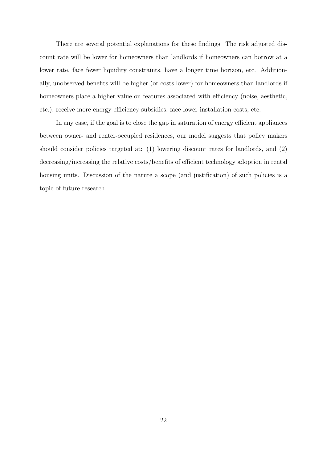There are several potential explanations for these findings. The risk adjusted discount rate will be lower for homeowners than landlords if homeowners can borrow at a lower rate, face fewer liquidity constraints, have a longer time horizon, etc. Additionally, unobserved benefits will be higher (or costs lower) for homeowners than landlords if homeowners place a higher value on features associated with efficiency (noise, aesthetic, etc.), receive more energy efficiency subsidies, face lower installation costs, etc.

In any case, if the goal is to close the gap in saturation of energy efficient appliances between owner- and renter-occupied residences, our model suggests that policy makers should consider policies targeted at: (1) lowering discount rates for landlords, and (2) decreasing/increasing the relative costs/benefits of efficient technology adoption in rental housing units. Discussion of the nature a scope (and justification) of such policies is a topic of future research.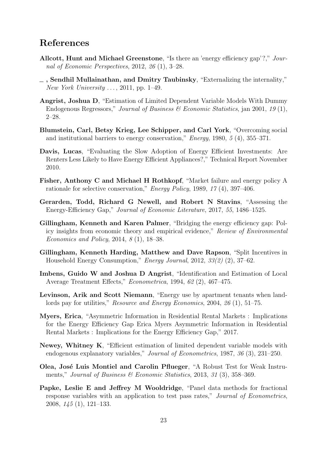### References

- <span id="page-22-5"></span>Allcott, Hunt and Michael Greenstone, "Is there an 'energy efficiency gap'?," Journal of Economic Perspectives, 2012, 26 (1), 3–28.
- <span id="page-22-9"></span> $\Box$ , Sendhil Mullainathan, and Dmitry Taubinsky, "Externalizing the internality," New York University  $\ldots$ , 2011, pp. 1–49.
- <span id="page-22-10"></span>Angrist, Joshua D, "Estimation of Limited Dependent Variable Models With Dummy Endogenous Regressors," Journal of Business & Economic Statistics, jan 2001, 19 (1), 2–28.
- <span id="page-22-2"></span>Blumstein, Carl, Betsy Krieg, Lee Schipper, and Carl York, "Overcoming social and institutional barriers to energy conservation," Energy, 1980, 5 (4), 355–371.
- <span id="page-22-4"></span>Davis, Lucas, "Evaluating the Slow Adoption of Energy Efficient Investments: Are Renters Less Likely to Have Energy Efficient Appliances?," Technical Report November 2010.
- <span id="page-22-3"></span>Fisher, Anthony C and Michael H Rothkopf, "Market failure and energy policy A rationale for selective conservation," Energy Policy, 1989, 17 (4), 397–406.
- <span id="page-22-7"></span>Gerarden, Todd, Richard G Newell, and Robert N Stavins, "Assessing the Energy-Efficiency Gap," Journal of Economic Literature, 2017, 55, 1486–1525.
- <span id="page-22-6"></span>Gillingham, Kenneth and Karen Palmer, "Bridging the energy efficiency gap: Policy insights from economic theory and empirical evidence," Review of Environmental Economics and Policy, 2014, 8 (1), 18–38.
- <span id="page-22-1"></span>Gillingham, Kenneth Harding, Matthew and Dave Rapson, "Split Incentives in Household Energy Consumption," Energy Journal, 2012, 33(2) (2), 37–62.
- <span id="page-22-11"></span>Imbens, Guido W and Joshua D Angrist, "Identification and Estimation of Local Average Treatment Effects," Econometrica, 1994, 62 (2), 467–475.
- <span id="page-22-0"></span>Levinson, Arik and Scott Niemann, "Energy use by apartment tenants when landlords pay for utilities," Resource and Energy Economics, 2004, 26 (1), 51–75.
- <span id="page-22-8"></span>Myers, Erica, "Asymmetric Information in Residential Rental Markets : Implications for the Energy Efficiency Gap Erica Myers Asymmetric Information in Residential Rental Markets : Implications for the Energy Efficiency Gap," 2017.
- <span id="page-22-13"></span>Newey, Whitney K, "Efficient estimation of limited dependent variable models with endogenous explanatory variables," Journal of Econometrics, 1987, 36 (3), 231–250.
- <span id="page-22-12"></span>Olea, José Luis Montiel and Carolin Pflueger, "A Robust Test for Weak Instruments," Journal of Business & Economic Statistics, 2013, 31 (3), 358–369.
- <span id="page-22-14"></span>Papke, Leslie E and Jeffrey M Wooldridge, "Panel data methods for fractional response variables with an application to test pass rates," Journal of Econometrics, 2008, 145 (1), 121–133.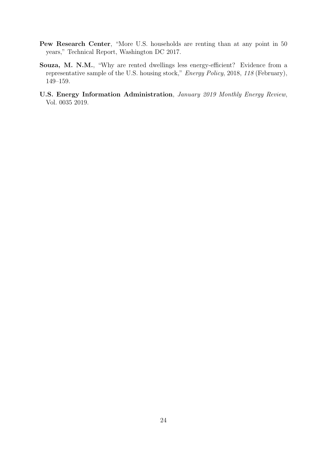- <span id="page-23-1"></span>Pew Research Center, "More U.S. households are renting than at any point in 50 years," Technical Report, Washington DC 2017.
- <span id="page-23-2"></span>Souza, M. N.M., "Why are rented dwellings less energy-efficient? Evidence from a representative sample of the U.S. housing stock," Energy Policy, 2018, 118 (February), 149–159.
- <span id="page-23-0"></span>U.S. Energy Information Administration, January 2019 Monthly Energy Review, Vol. 0035 2019.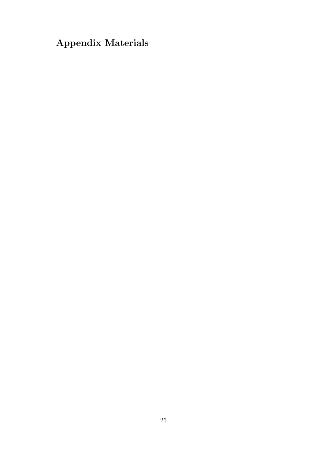# Appendix Materials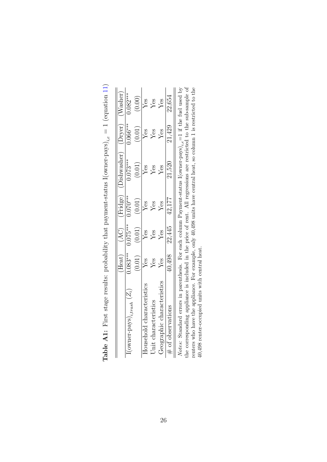|                                                                                                                | Heat)      | $\widetilde{\mathcal{A}}$ C) | (Fridge)   | (Dishwasher) | (Dryer)    | $\rm{Wash}$ |
|----------------------------------------------------------------------------------------------------------------|------------|------------------------------|------------|--------------|------------|-------------|
| (OWNer-pays) <sub>itrash</sub> $(Z_i)$                                                                         | $0.083***$ | $0.075***$                   | $0.070***$ | $0.073***$   | $0.066***$ | $0.082***$  |
|                                                                                                                | (0.01)     | (0.01)                       | (0.01)     | (0.01)       | (0.01)     | (0.00)      |
| Household characteristics                                                                                      | Йes        | Yes                          | Ýes        | Yes          | Yes        | Yes         |
| Jnit characteristics                                                                                           | Yes        | Yes                          | $Y$ es     | Yes          | Yes        | les         |
| deographic characteristics                                                                                     | Yes        | Ýes                          | Ýes        | Ýes          | Yes        | Ýes         |
| # of observations                                                                                              | 40,498     | 22,445                       | 42,177     | 21,520       | 21,429     | 22,654      |
| Votes: Standard errors in parenthesis. For each column Payment-status I (owner-pays). $=1$ if the fuel used by |            |                              |            |              |            |             |

<span id="page-25-0"></span>**Table A1:** First stage results: probability that payment-status  $I(\text{owner-pays})_{i,e} = 1$  (equation 11) **Table A1:** First stage results: probability that payment-status  $I(\text{ownner-pays})_{i,e} = 1$  (equation [11\)](#page-16-2)

Notes: Standard errors in parenthesis. For each column Payment-status  $I(\text{owner-Pays})_{i,\epsilon} = 1$  it the tiel used by<br>the corresponding appliance is included in the price of rent. All regressions are restricted to the sub-sample o Notes: Standard errors in parenthesis. For each column Payment-status  $I(\text{owner-pays})_{i,e}=1$  if the fuel used by the corresponding appliance is included in the price of rent. All regressions are restricted to the sub-sample of renters who have the appliance. For example, only 40,498 units have central heat, so column 1 is restricted to the 40,498 renter-occupied units with central heat.